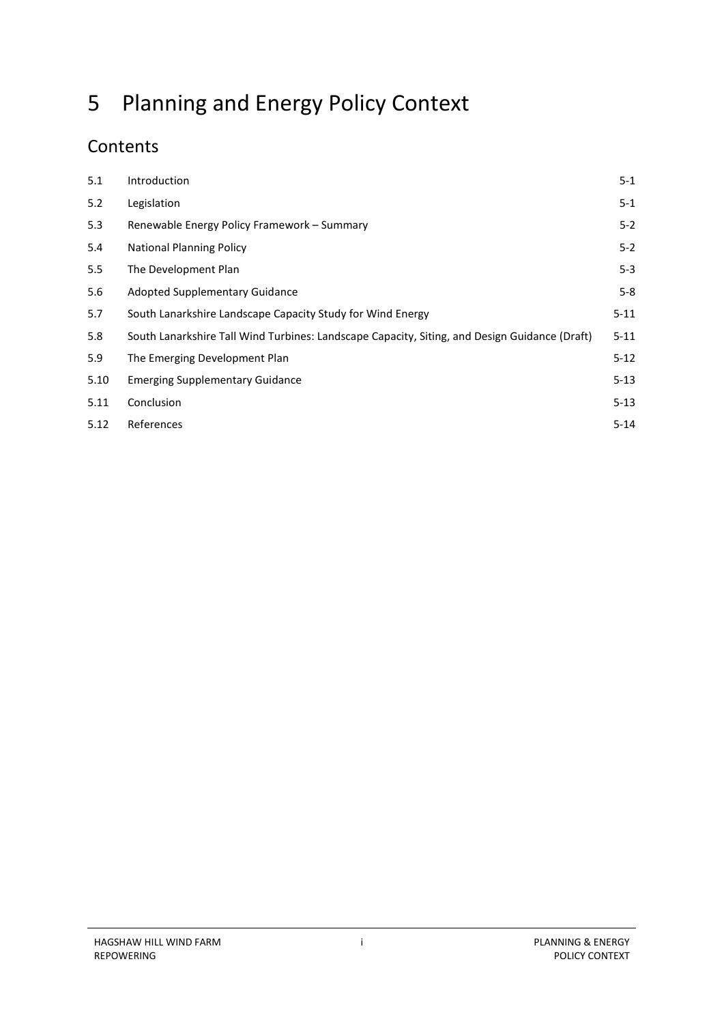# 5 Planning and Energy Policy Context

# **Contents**

| Introduction                                                                                  | $5 - 1$  |
|-----------------------------------------------------------------------------------------------|----------|
| Legislation                                                                                   | $5 - 1$  |
| Renewable Energy Policy Framework - Summary                                                   | $5 - 2$  |
| <b>National Planning Policy</b>                                                               | $5-2$    |
| The Development Plan                                                                          | $5 - 3$  |
| <b>Adopted Supplementary Guidance</b>                                                         | $5 - 8$  |
| South Lanarkshire Landscape Capacity Study for Wind Energy                                    | $5 - 11$ |
| South Lanarkshire Tall Wind Turbines: Landscape Capacity, Siting, and Design Guidance (Draft) | $5 - 11$ |
| The Emerging Development Plan                                                                 | $5 - 12$ |
| <b>Emerging Supplementary Guidance</b>                                                        | $5 - 13$ |
| Conclusion                                                                                    | $5 - 13$ |
| References                                                                                    | $5-14$   |
|                                                                                               |          |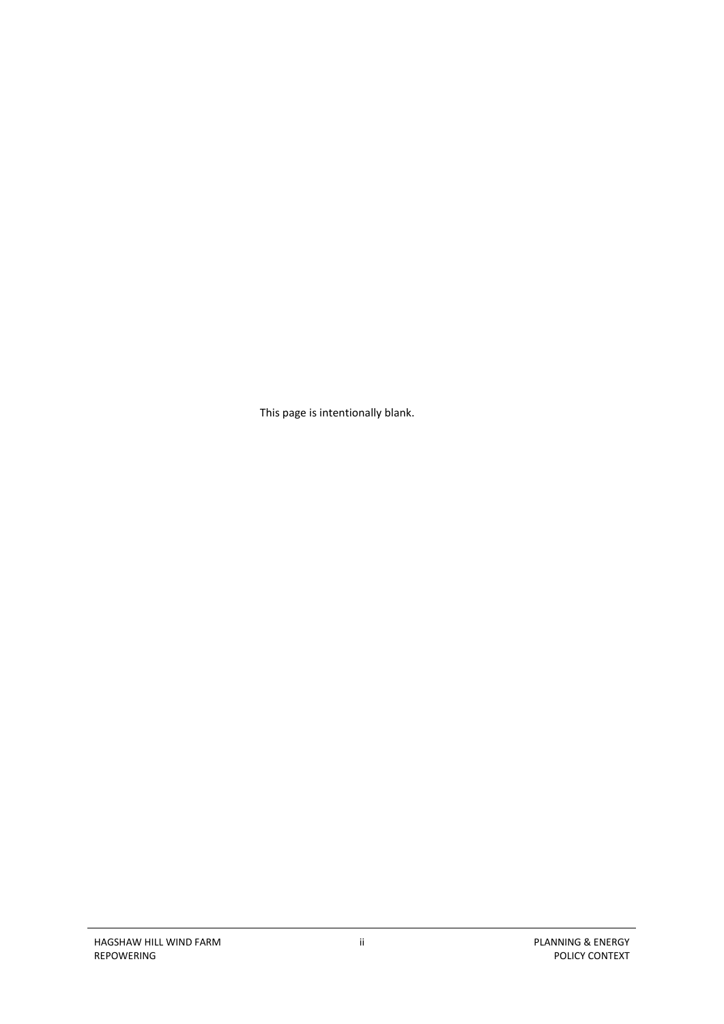This page is intentionally blank.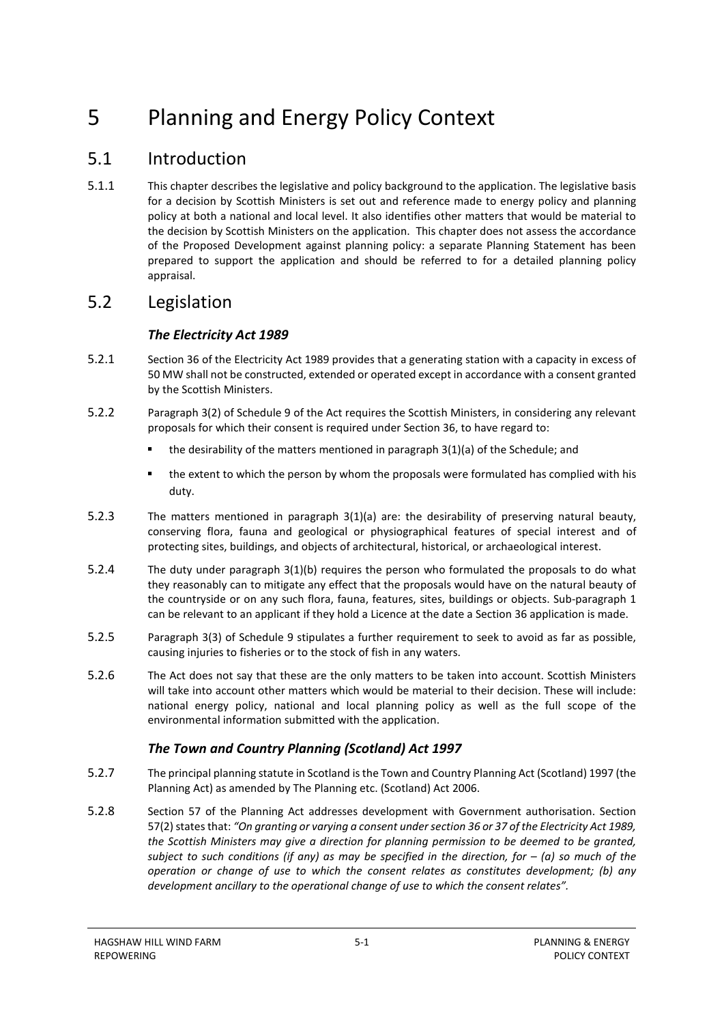# 5 Planning and Energy Policy Context

### <span id="page-2-0"></span>5.1 Introduction

5.1.1 This chapter describes the legislative and policy background to the application. The legislative basis for a decision by Scottish Ministers is set out and reference made to energy policy and planning policy at both a national and local level. It also identifies other matters that would be material to the decision by Scottish Ministers on the application. This chapter does not assess the accordance of the Proposed Development against planning policy: a separate Planning Statement has been prepared to support the application and should be referred to for a detailed planning policy appraisal.

### <span id="page-2-1"></span>5.2 Legislation

#### *The Electricity Act 1989*

- 5.2.1 Section 36 of the Electricity Act 1989 provides that a generating station with a capacity in excess of 50 MW shall not be constructed, extended or operated except in accordance with a consent granted by the Scottish Ministers.
- 5.2.2 Paragraph 3(2) of Schedule 9 of the Act requires the Scottish Ministers, in considering any relevant proposals for which their consent is required under Section 36, to have regard to:
	- $\blacksquare$  the desirability of the matters mentioned in paragraph 3(1)(a) of the Schedule; and
	- the extent to which the person by whom the proposals were formulated has complied with his duty.
- 5.2.3 The matters mentioned in paragraph 3(1)(a) are: the desirability of preserving natural beauty, conserving flora, fauna and geological or physiographical features of special interest and of protecting sites, buildings, and objects of architectural, historical, or archaeological interest.
- 5.2.4 The duty under paragraph 3(1)(b) requires the person who formulated the proposals to do what they reasonably can to mitigate any effect that the proposals would have on the natural beauty of the countryside or on any such flora, fauna, features, sites, buildings or objects. Sub-paragraph 1 can be relevant to an applicant if they hold a Licence at the date a Section 36 application is made.
- 5.2.5 Paragraph 3(3) of Schedule 9 stipulates a further requirement to seek to avoid as far as possible, causing injuries to fisheries or to the stock of fish in any waters.
- 5.2.6 The Act does not say that these are the only matters to be taken into account. Scottish Ministers will take into account other matters which would be material to their decision. These will include: national energy policy, national and local planning policy as well as the full scope of the environmental information submitted with the application.

#### *The Town and Country Planning (Scotland) Act 1997*

- 5.2.7 The principal planning statute in Scotland is the Town and Country Planning Act (Scotland) 1997 (the Planning Act) as amended by The Planning etc. (Scotland) Act 2006.
- 5.2.8 Section 57 of the Planning Act addresses development with Government authorisation. Section 57(2) states that: *"On granting or varying a consent under section 36 or 37 of the Electricity Act 1989, the Scottish Ministers may give a direction for planning permission to be deemed to be granted, subject to such conditions (if any) as may be specified in the direction, for – (a) so much of the operation or change of use to which the consent relates as constitutes development; (b) any development ancillary to the operational change of use to which the consent relates".*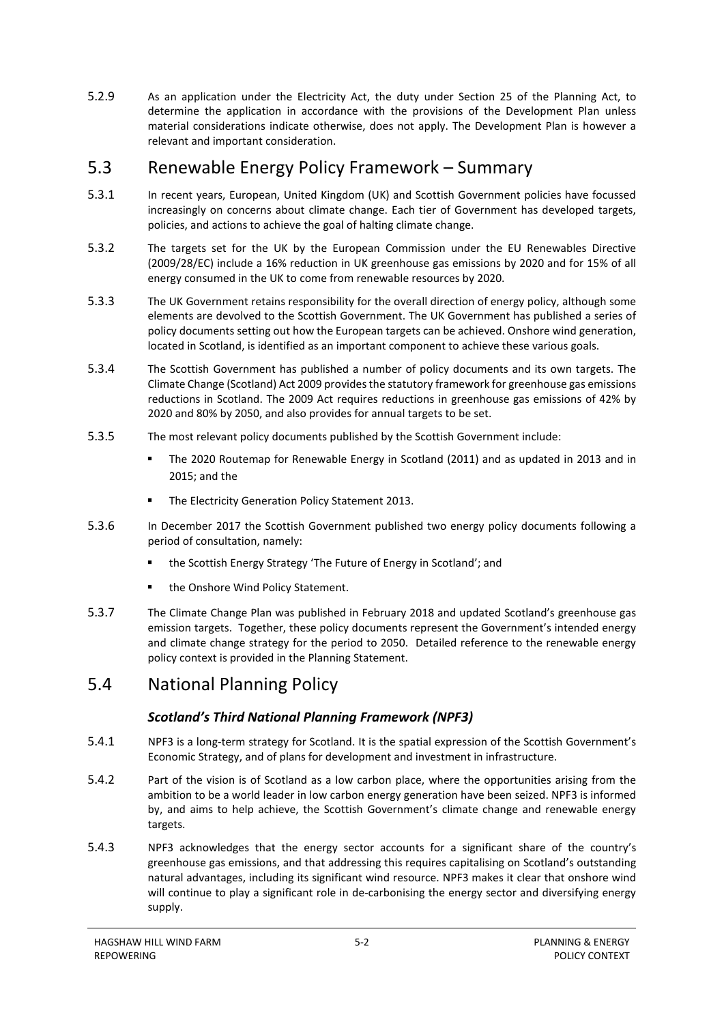5.2.9 As an application under the Electricity Act, the duty under Section 25 of the Planning Act, to determine the application in accordance with the provisions of the Development Plan unless material considerations indicate otherwise, does not apply. The Development Plan is however a relevant and important consideration.

### <span id="page-3-0"></span>5.3 Renewable Energy Policy Framework – Summary

- 5.3.1 In recent years, European, United Kingdom (UK) and Scottish Government policies have focussed increasingly on concerns about climate change. Each tier of Government has developed targets, policies, and actions to achieve the goal of halting climate change.
- 5.3.2 The targets set for the UK by the European Commission under the EU Renewables Directive (2009/28/EC) include a 16% reduction in UK greenhouse gas emissions by 2020 and for 15% of all energy consumed in the UK to come from renewable resources by 2020.
- 5.3.3 The UK Government retains responsibility for the overall direction of energy policy, although some elements are devolved to the Scottish Government. The UK Government has published a series of policy documents setting out how the European targets can be achieved. Onshore wind generation, located in Scotland, is identified as an important component to achieve these various goals.
- 5.3.4 The Scottish Government has published a number of policy documents and its own targets. The Climate Change (Scotland) Act 2009 provides the statutory framework for greenhouse gas emissions reductions in Scotland. The 2009 Act requires reductions in greenhouse gas emissions of 42% by 2020 and 80% by 2050, and also provides for annual targets to be set.
- 5.3.5 The most relevant policy documents published by the Scottish Government include:
	- The 2020 Routemap for Renewable Energy in Scotland (2011) and as updated in 2013 and in 2015; and the
	- **The Electricity Generation Policy Statement 2013.**
- 5.3.6 In December 2017 the Scottish Government published two energy policy documents following a period of consultation, namely:
	- the Scottish Energy Strategy 'The Future of Energy in Scotland'; and
	- the Onshore Wind Policy Statement.
- 5.3.7 The Climate Change Plan was published in February 2018 and updated Scotland's greenhouse gas emission targets. Together, these policy documents represent the Government's intended energy and climate change strategy for the period to 2050. Detailed reference to the renewable energy policy context is provided in the Planning Statement.

### <span id="page-3-1"></span>5.4 National Planning Policy

#### *Scotland's Third National Planning Framework (NPF3)*

- 5.4.1 NPF3 is a long-term strategy for Scotland. It is the spatial expression of the Scottish Government's Economic Strategy, and of plans for development and investment in infrastructure.
- 5.4.2 Part of the vision is of Scotland as a low carbon place, where the opportunities arising from the ambition to be a world leader in low carbon energy generation have been seized. NPF3 is informed by, and aims to help achieve, the Scottish Government's climate change and renewable energy targets.
- 5.4.3 NPF3 acknowledges that the energy sector accounts for a significant share of the country's greenhouse gas emissions, and that addressing this requires capitalising on Scotland's outstanding natural advantages, including its significant wind resource. NPF3 makes it clear that onshore wind will continue to play a significant role in de-carbonising the energy sector and diversifying energy supply.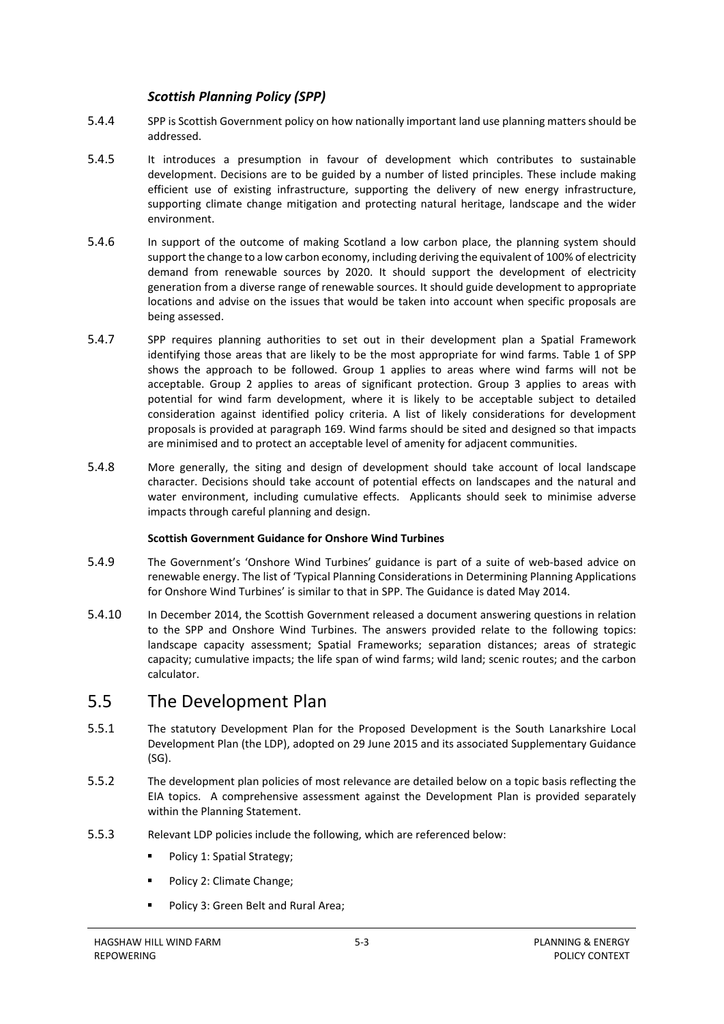#### *Scottish Planning Policy (SPP)*

- 5.4.4 SPP is Scottish Government policy on how nationally important land use planning matters should be addressed.
- 5.4.5 It introduces a presumption in favour of development which contributes to sustainable development. Decisions are to be guided by a number of listed principles. These include making efficient use of existing infrastructure, supporting the delivery of new energy infrastructure, supporting climate change mitigation and protecting natural heritage, landscape and the wider environment.
- 5.4.6 In support of the outcome of making Scotland a low carbon place, the planning system should support the change to a low carbon economy, including deriving the equivalent of 100% of electricity demand from renewable sources by 2020. It should support the development of electricity generation from a diverse range of renewable sources. It should guide development to appropriate locations and advise on the issues that would be taken into account when specific proposals are being assessed.
- 5.4.7 SPP requires planning authorities to set out in their development plan a Spatial Framework identifying those areas that are likely to be the most appropriate for wind farms. Table 1 of SPP shows the approach to be followed. Group 1 applies to areas where wind farms will not be acceptable. Group 2 applies to areas of significant protection. Group 3 applies to areas with potential for wind farm development, where it is likely to be acceptable subject to detailed consideration against identified policy criteria. A list of likely considerations for development proposals is provided at paragraph 169. Wind farms should be sited and designed so that impacts are minimised and to protect an acceptable level of amenity for adjacent communities.
- 5.4.8 More generally, the siting and design of development should take account of local landscape character. Decisions should take account of potential effects on landscapes and the natural and water environment, including cumulative effects. Applicants should seek to minimise adverse impacts through careful planning and design.

#### **Scottish Government Guidance for Onshore Wind Turbines**

- 5.4.9 The Government's 'Onshore Wind Turbines' guidance is part of a suite of web-based advice on renewable energy. The list of 'Typical Planning Considerations in Determining Planning Applications for Onshore Wind Turbines' is similar to that in SPP. The Guidance is dated May 2014.
- 5.4.10 In December 2014, the Scottish Government released a document answering questions in relation to the SPP and Onshore Wind Turbines. The answers provided relate to the following topics: landscape capacity assessment; Spatial Frameworks; separation distances; areas of strategic capacity; cumulative impacts; the life span of wind farms; wild land; scenic routes; and the carbon calculator.

### <span id="page-4-0"></span>5.5 The Development Plan

- 5.5.1 The statutory Development Plan for the Proposed Development is the South Lanarkshire Local Development Plan (the LDP), adopted on 29 June 2015 and its associated Supplementary Guidance (SG).
- 5.5.2 The development plan policies of most relevance are detailed below on a topic basis reflecting the EIA topics. A comprehensive assessment against the Development Plan is provided separately within the Planning Statement.
- 5.5.3 Relevant LDP policies include the following, which are referenced below:
	- **Policy 1: Spatial Strategy;**
	- Policy 2: Climate Change;
	- **Policy 3: Green Belt and Rural Area;**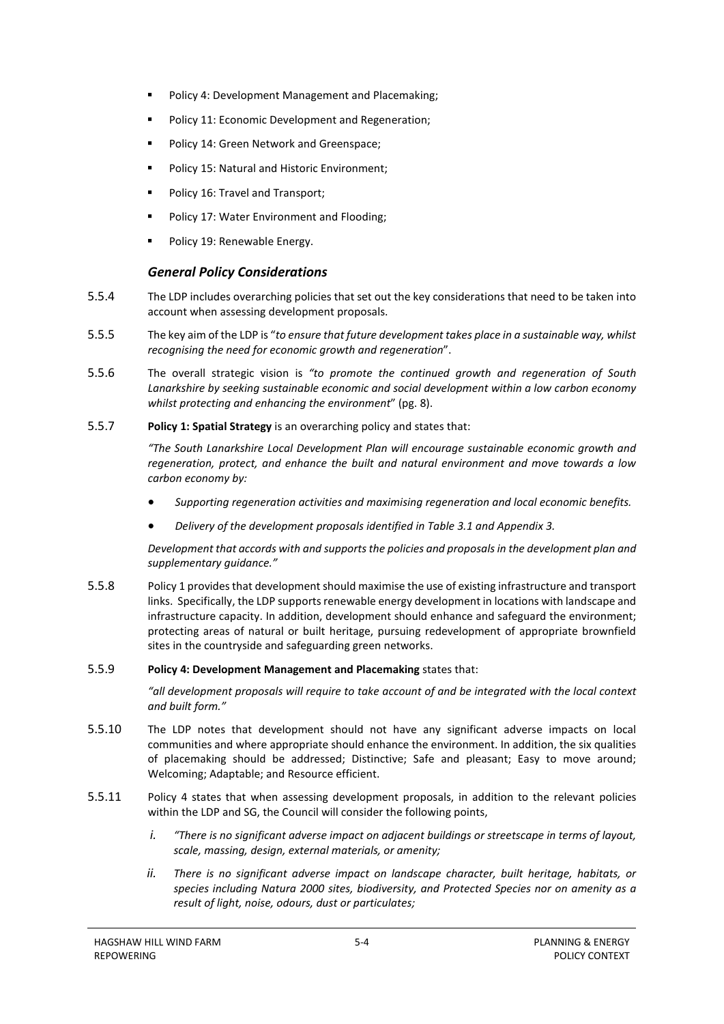- **Policy 4: Development Management and Placemaking;**
- Policy 11: Economic Development and Regeneration;
- **Policy 14: Green Network and Greenspace:**
- **Policy 15: Natural and Historic Environment;**
- **Policy 16: Travel and Transport;**
- **Policy 17: Water Environment and Flooding;**
- Policy 19: Renewable Energy.

#### *General Policy Considerations*

- 5.5.4 The LDP includes overarching policies that set out the key considerations that need to be taken into account when assessing development proposals.
- 5.5.5 The key aim of the LDP is "*to ensure that future development takes place in a sustainable way, whilst recognising the need for economic growth and regeneration*".
- 5.5.6 The overall strategic vision is *"to promote the continued growth and regeneration of South Lanarkshire by seeking sustainable economic and social development within a low carbon economy whilst protecting and enhancing the environment*" (pg. 8).
- 5.5.7 **Policy 1: Spatial Strategy** is an overarching policy and states that:

*"The South Lanarkshire Local Development Plan will encourage sustainable economic growth and regeneration, protect, and enhance the built and natural environment and move towards a low carbon economy by:*

- *Supporting regeneration activities and maximising regeneration and local economic benefits.*
- *Delivery of the development proposals identified in Table 3.1 and Appendix 3.*

*Development that accords with and supports the policies and proposals in the development plan and supplementary guidance."*

5.5.8 Policy 1 provides that development should maximise the use of existing infrastructure and transport links. Specifically, the LDP supports renewable energy development in locations with landscape and infrastructure capacity. In addition, development should enhance and safeguard the environment; protecting areas of natural or built heritage, pursuing redevelopment of appropriate brownfield sites in the countryside and safeguarding green networks.

#### 5.5.9 **Policy 4: Development Management and Placemaking** states that:

*"all development proposals will require to take account of and be integrated with the local context and built form."* 

- 5.5.10 The LDP notes that development should not have any significant adverse impacts on local communities and where appropriate should enhance the environment. In addition, the six qualities of placemaking should be addressed; Distinctive; Safe and pleasant; Easy to move around; Welcoming; Adaptable; and Resource efficient.
- 5.5.11 Policy 4 states that when assessing development proposals, in addition to the relevant policies within the LDP and SG, the Council will consider the following points,
	- *i. "There is no significant adverse impact on adjacent buildings or streetscape in terms of layout, scale, massing, design, external materials, or amenity;*
	- *ii. There is no significant adverse impact on landscape character, built heritage, habitats, or species including Natura 2000 sites, biodiversity, and Protected Species nor on amenity as a result of light, noise, odours, dust or particulates;*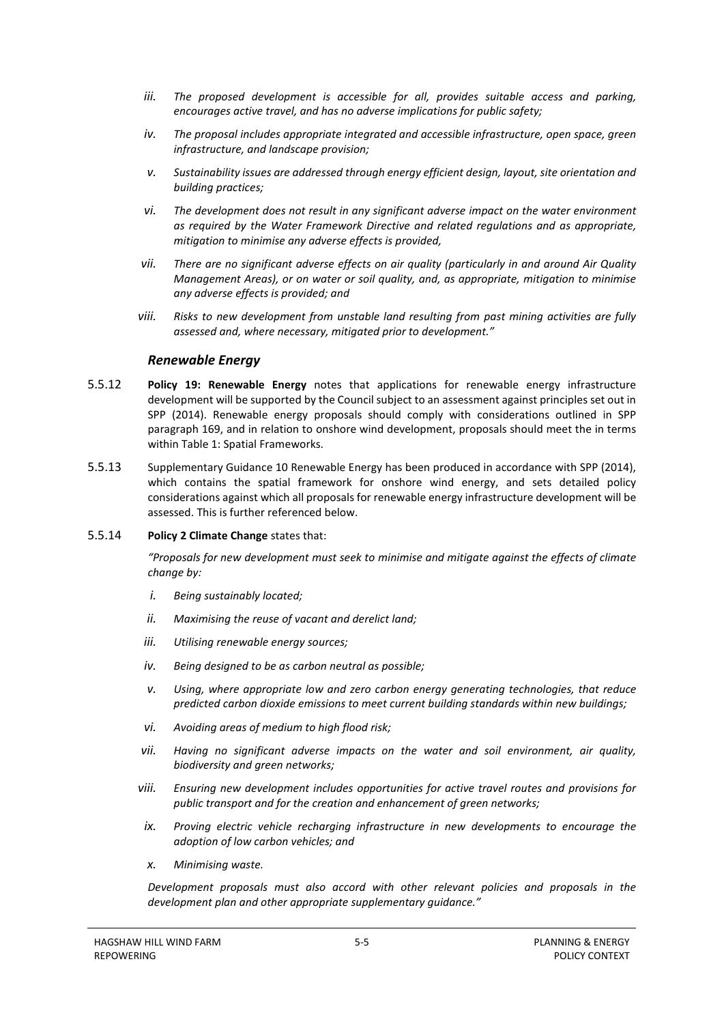- *iii. The proposed development is accessible for all, provides suitable access and parking, encourages active travel, and has no adverse implications for public safety;*
- *iv. The proposal includes appropriate integrated and accessible infrastructure, open space, green infrastructure, and landscape provision;*
- *v. Sustainability issues are addressed through energy efficient design, layout, site orientation and building practices;*
- *vi. The development does not result in any significant adverse impact on the water environment as required by the Water Framework Directive and related regulations and as appropriate, mitigation to minimise any adverse effects is provided,*
- *vii. There are no significant adverse effects on air quality (particularly in and around Air Quality Management Areas), or on water or soil quality, and, as appropriate, mitigation to minimise any adverse effects is provided; and*
- *viii. Risks to new development from unstable land resulting from past mining activities are fully assessed and, where necessary, mitigated prior to development."*

#### *Renewable Energy*

- 5.5.12 **Policy 19: Renewable Energy** notes that applications for renewable energy infrastructure development will be supported by the Council subject to an assessment against principles set out in SPP (2014). Renewable energy proposals should comply with considerations outlined in SPP paragraph 169, and in relation to onshore wind development, proposals should meet the in terms within Table 1: Spatial Frameworks.
- 5.5.13 Supplementary Guidance 10 Renewable Energy has been produced in accordance with SPP (2014), which contains the spatial framework for onshore wind energy, and sets detailed policy considerations against which all proposals for renewable energy infrastructure development will be assessed. This is further referenced below.
- 5.5.14 **Policy 2 Climate Change** states that:

*"Proposals for new development must seek to minimise and mitigate against the effects of climate change by:*

- *i. Being sustainably located;*
- *ii. Maximising the reuse of vacant and derelict land;*
- *iii. Utilising renewable energy sources;*
- *iv. Being designed to be as carbon neutral as possible;*
- *v. Using, where appropriate low and zero carbon energy generating technologies, that reduce predicted carbon dioxide emissions to meet current building standards within new buildings;*
- *vi. Avoiding areas of medium to high flood risk;*
- *vii. Having no significant adverse impacts on the water and soil environment, air quality, biodiversity and green networks;*
- *viii. Ensuring new development includes opportunities for active travel routes and provisions for public transport and for the creation and enhancement of green networks;*
- *ix. Proving electric vehicle recharging infrastructure in new developments to encourage the adoption of low carbon vehicles; and*
- *x. Minimising waste.*

*Development proposals must also accord with other relevant policies and proposals in the development plan and other appropriate supplementary guidance."*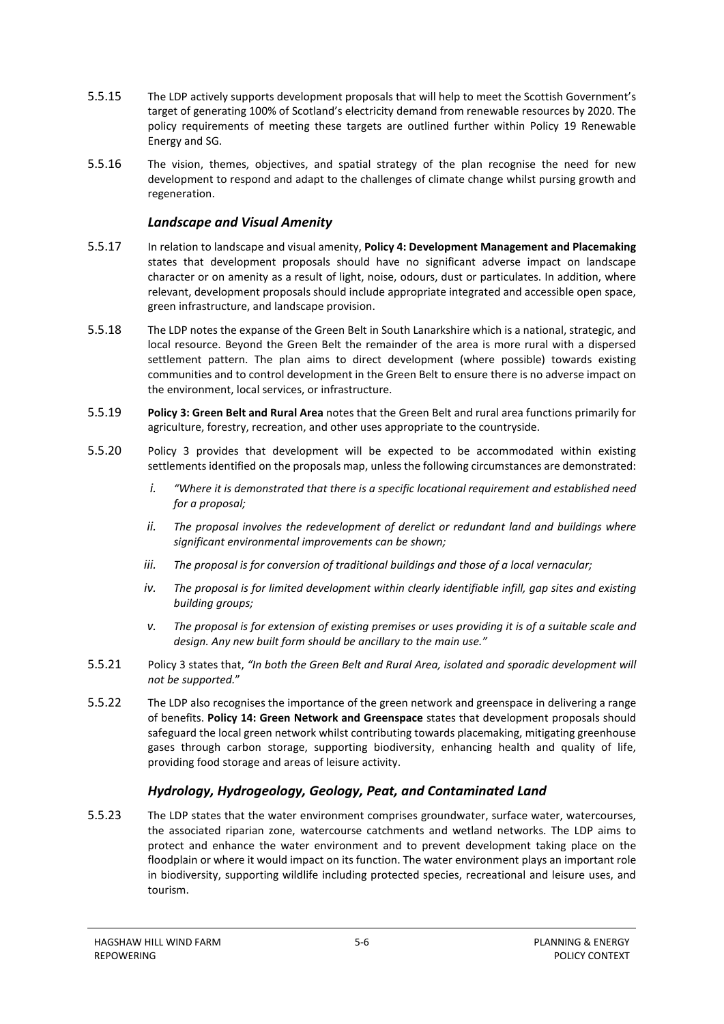- 5.5.15 The LDP actively supports development proposals that will help to meet the Scottish Government's target of generating 100% of Scotland's electricity demand from renewable resources by 2020. The policy requirements of meeting these targets are outlined further within Policy 19 Renewable Energy and SG.
- 5.5.16 The vision, themes, objectives, and spatial strategy of the plan recognise the need for new development to respond and adapt to the challenges of climate change whilst pursing growth and regeneration.

#### *Landscape and Visual Amenity*

- 5.5.17 In relation to landscape and visual amenity, **Policy 4: Development Management and Placemaking** states that development proposals should have no significant adverse impact on landscape character or on amenity as a result of light, noise, odours, dust or particulates. In addition, where relevant, development proposals should include appropriate integrated and accessible open space, green infrastructure, and landscape provision.
- 5.5.18 The LDP notes the expanse of the Green Belt in South Lanarkshire which is a national, strategic, and local resource. Beyond the Green Belt the remainder of the area is more rural with a dispersed settlement pattern. The plan aims to direct development (where possible) towards existing communities and to control development in the Green Belt to ensure there is no adverse impact on the environment, local services, or infrastructure.
- 5.5.19 **Policy 3: Green Belt and Rural Area** notes that the Green Belt and rural area functions primarily for agriculture, forestry, recreation, and other uses appropriate to the countryside.
- 5.5.20 Policy 3 provides that development will be expected to be accommodated within existing settlements identified on the proposals map, unless the following circumstances are demonstrated:
	- *i. "Where it is demonstrated that there is a specific locational requirement and established need for a proposal;*
	- *ii. The proposal involves the redevelopment of derelict or redundant land and buildings where significant environmental improvements can be shown;*
	- *iii. The proposal is for conversion of traditional buildings and those of a local vernacular;*
	- *iv. The proposal is for limited development within clearly identifiable infill, gap sites and existing building groups;*
	- *v. The proposal is for extension of existing premises or uses providing it is of a suitable scale and design. Any new built form should be ancillary to the main use."*
- 5.5.21 Policy 3 states that, *"In both the Green Belt and Rural Area, isolated and sporadic development will not be supported.*"
- 5.5.22 The LDP also recognises the importance of the green network and greenspace in delivering a range of benefits. **Policy 14: Green Network and Greenspace** states that development proposals should safeguard the local green network whilst contributing towards placemaking, mitigating greenhouse gases through carbon storage, supporting biodiversity, enhancing health and quality of life, providing food storage and areas of leisure activity.

#### *Hydrology, Hydrogeology, Geology, Peat, and Contaminated Land*

5.5.23 The LDP states that the water environment comprises groundwater, surface water, watercourses, the associated riparian zone, watercourse catchments and wetland networks. The LDP aims to protect and enhance the water environment and to prevent development taking place on the floodplain or where it would impact on its function. The water environment plays an important role in biodiversity, supporting wildlife including protected species, recreational and leisure uses, and tourism.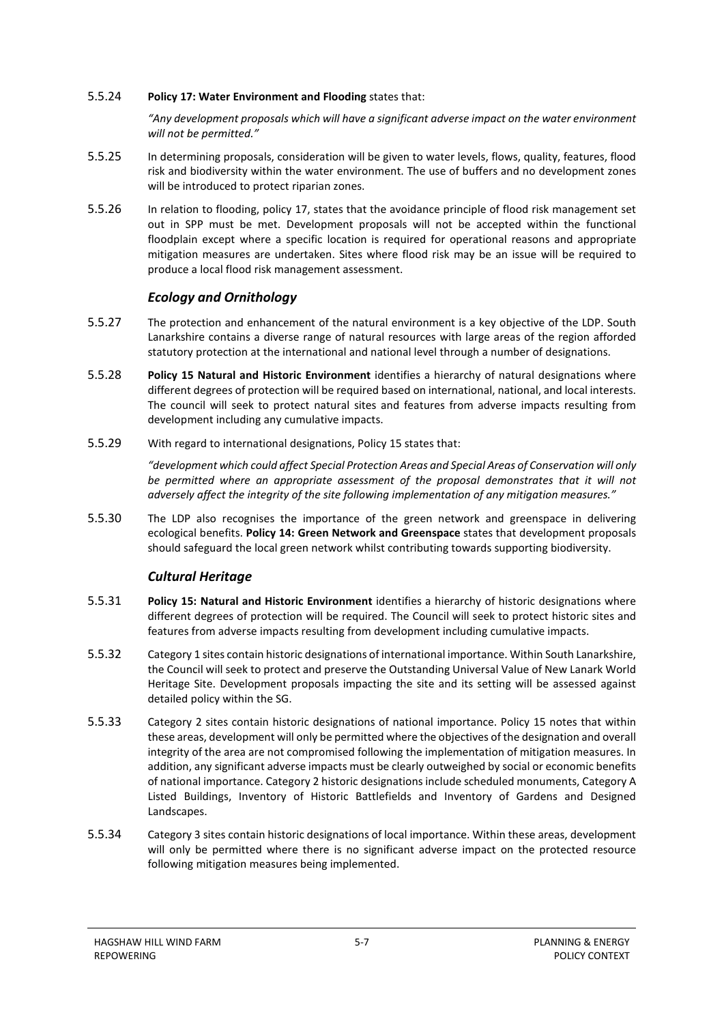#### 5.5.24 **Policy 17: Water Environment and Flooding** states that:

*"Any development proposals which will have a significant adverse impact on the water environment will not be permitted."* 

- 5.5.25 In determining proposals, consideration will be given to water levels, flows, quality, features, flood risk and biodiversity within the water environment. The use of buffers and no development zones will be introduced to protect riparian zones.
- 5.5.26 In relation to flooding, policy 17, states that the avoidance principle of flood risk management set out in SPP must be met. Development proposals will not be accepted within the functional floodplain except where a specific location is required for operational reasons and appropriate mitigation measures are undertaken. Sites where flood risk may be an issue will be required to produce a local flood risk management assessment.

#### *Ecology and Ornithology*

- 5.5.27 The protection and enhancement of the natural environment is a key objective of the LDP. South Lanarkshire contains a diverse range of natural resources with large areas of the region afforded statutory protection at the international and national level through a number of designations.
- 5.5.28 **Policy 15 Natural and Historic Environment** identifies a hierarchy of natural designations where different degrees of protection will be required based on international, national, and local interests. The council will seek to protect natural sites and features from adverse impacts resulting from development including any cumulative impacts.
- 5.5.29 With regard to international designations, Policy 15 states that:

*"development which could affect Special Protection Areas and Special Areas of Conservation will only*  be permitted where an appropriate assessment of the proposal demonstrates that it will not *adversely affect the integrity of the site following implementation of any mitigation measures."*

5.5.30 The LDP also recognises the importance of the green network and greenspace in delivering ecological benefits. **Policy 14: Green Network and Greenspace** states that development proposals should safeguard the local green network whilst contributing towards supporting biodiversity.

#### *Cultural Heritage*

- 5.5.31 **Policy 15: Natural and Historic Environment** identifies a hierarchy of historic designations where different degrees of protection will be required. The Council will seek to protect historic sites and features from adverse impacts resulting from development including cumulative impacts.
- 5.5.32 Category 1 sites contain historic designations of international importance. Within South Lanarkshire, the Council will seek to protect and preserve the Outstanding Universal Value of New Lanark World Heritage Site. Development proposals impacting the site and its setting will be assessed against detailed policy within the SG.
- 5.5.33 Category 2 sites contain historic designations of national importance. Policy 15 notes that within these areas, development will only be permitted where the objectives of the designation and overall integrity of the area are not compromised following the implementation of mitigation measures. In addition, any significant adverse impacts must be clearly outweighed by social or economic benefits of national importance. Category 2 historic designations include scheduled monuments, Category A Listed Buildings, Inventory of Historic Battlefields and Inventory of Gardens and Designed Landscapes.
- 5.5.34 Category 3 sites contain historic designations of local importance. Within these areas, development will only be permitted where there is no significant adverse impact on the protected resource following mitigation measures being implemented.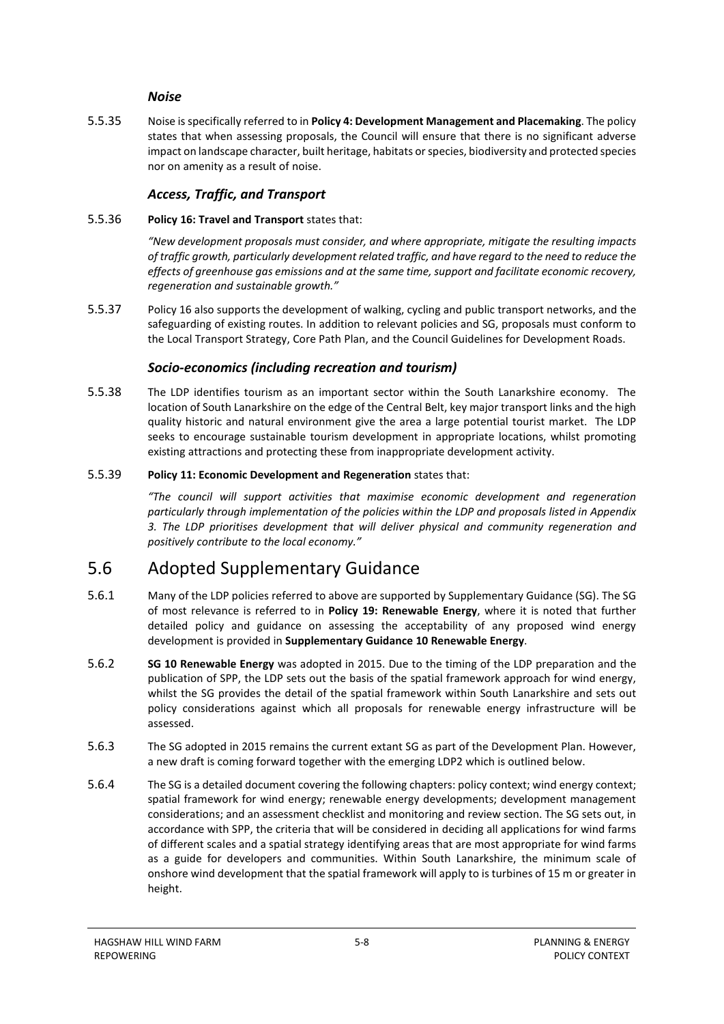#### *Noise*

5.5.35 Noise is specifically referred to in **Policy 4: Development Management and Placemaking**. The policy states that when assessing proposals, the Council will ensure that there is no significant adverse impact on landscape character, built heritage, habitats or species, biodiversity and protected species nor on amenity as a result of noise.

#### *Access, Traffic, and Transport*

#### 5.5.36 **Policy 16: Travel and Transport** states that:

*"New development proposals must consider, and where appropriate, mitigate the resulting impacts of traffic growth, particularly development related traffic, and have regard to the need to reduce the effects of greenhouse gas emissions and at the same time, support and facilitate economic recovery, regeneration and sustainable growth."*

5.5.37 Policy 16 also supports the development of walking, cycling and public transport networks, and the safeguarding of existing routes. In addition to relevant policies and SG, proposals must conform to the Local Transport Strategy, Core Path Plan, and the Council Guidelines for Development Roads.

#### *Socio-economics (including recreation and tourism)*

5.5.38 The LDP identifies tourism as an important sector within the South Lanarkshire economy. The location of South Lanarkshire on the edge of the Central Belt, key major transport links and the high quality historic and natural environment give the area a large potential tourist market. The LDP seeks to encourage sustainable tourism development in appropriate locations, whilst promoting existing attractions and protecting these from inappropriate development activity.

#### 5.5.39 **Policy 11: Economic Development and Regeneration** states that:

*"The council will support activities that maximise economic development and regeneration particularly through implementation of the policies within the LDP and proposals listed in Appendix 3. The LDP prioritises development that will deliver physical and community regeneration and positively contribute to the local economy."*

### <span id="page-9-0"></span>5.6 Adopted Supplementary Guidance

- 5.6.1 Many of the LDP policies referred to above are supported by Supplementary Guidance (SG). The SG of most relevance is referred to in **Policy 19: Renewable Energy**, where it is noted that further detailed policy and guidance on assessing the acceptability of any proposed wind energy development is provided in **Supplementary Guidance 10 Renewable Energy**.
- 5.6.2 **SG 10 Renewable Energy** was adopted in 2015. Due to the timing of the LDP preparation and the publication of SPP, the LDP sets out the basis of the spatial framework approach for wind energy, whilst the SG provides the detail of the spatial framework within South Lanarkshire and sets out policy considerations against which all proposals for renewable energy infrastructure will be assessed.
- 5.6.3 The SG adopted in 2015 remains the current extant SG as part of the Development Plan. However, a new draft is coming forward together with the emerging LDP2 which is outlined below.
- 5.6.4 The SG is a detailed document covering the following chapters: policy context; wind energy context; spatial framework for wind energy; renewable energy developments; development management considerations; and an assessment checklist and monitoring and review section. The SG sets out, in accordance with SPP, the criteria that will be considered in deciding all applications for wind farms of different scales and a spatial strategy identifying areas that are most appropriate for wind farms as a guide for developers and communities. Within South Lanarkshire, the minimum scale of onshore wind development that the spatial framework will apply to is turbines of 15 m or greater in height.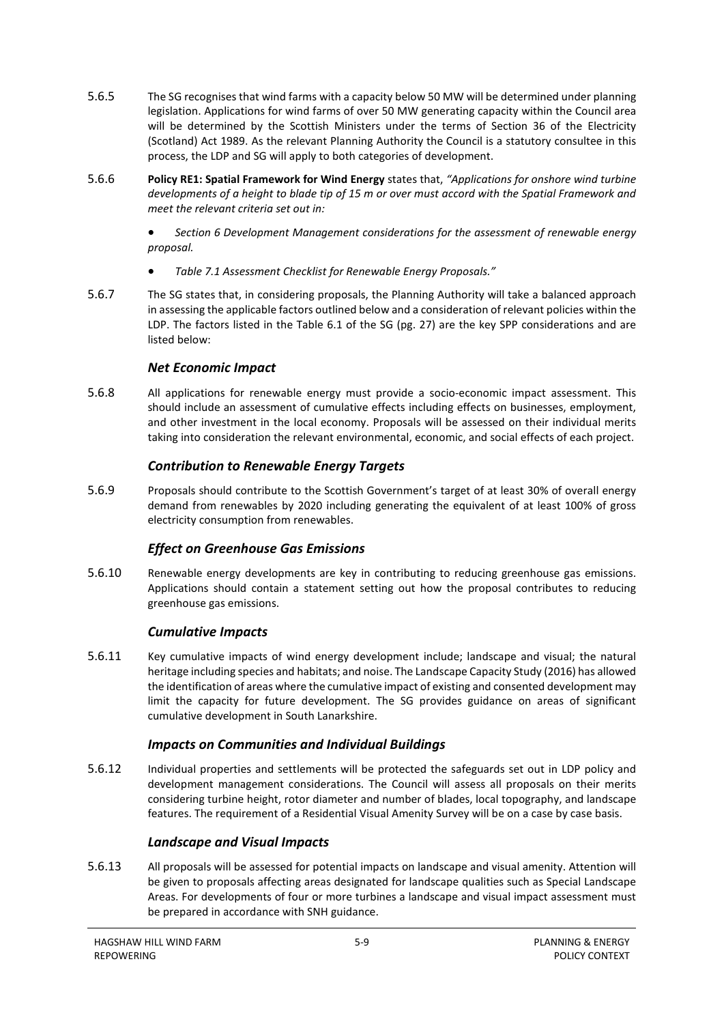- 5.6.5 The SG recognises that wind farms with a capacity below 50 MW will be determined under planning legislation. Applications for wind farms of over 50 MW generating capacity within the Council area will be determined by the Scottish Ministers under the terms of Section 36 of the Electricity (Scotland) Act 1989. As the relevant Planning Authority the Council is a statutory consultee in this process, the LDP and SG will apply to both categories of development.
- 5.6.6 **Policy RE1: Spatial Framework for Wind Energy** states that, *"Applications for onshore wind turbine developments of a height to blade tip of 15 m or over must accord with the Spatial Framework and meet the relevant criteria set out in:*

• *Section 6 Development Management considerations for the assessment of renewable energy proposal.*

- *Table 7.1 Assessment Checklist for Renewable Energy Proposals."*
- 5.6.7 The SG states that, in considering proposals, the Planning Authority will take a balanced approach in assessing the applicable factors outlined below and a consideration of relevant policies within the LDP. The factors listed in the Table 6.1 of the SG (pg. 27) are the key SPP considerations and are listed below:

#### *Net Economic Impact*

5.6.8 All applications for renewable energy must provide a socio-economic impact assessment. This should include an assessment of cumulative effects including effects on businesses, employment, and other investment in the local economy. Proposals will be assessed on their individual merits taking into consideration the relevant environmental, economic, and social effects of each project.

#### *Contribution to Renewable Energy Targets*

5.6.9 Proposals should contribute to the Scottish Government's target of at least 30% of overall energy demand from renewables by 2020 including generating the equivalent of at least 100% of gross electricity consumption from renewables.

#### *Effect on Greenhouse Gas Emissions*

5.6.10 Renewable energy developments are key in contributing to reducing greenhouse gas emissions. Applications should contain a statement setting out how the proposal contributes to reducing greenhouse gas emissions.

#### *Cumulative Impacts*

5.6.11 Key cumulative impacts of wind energy development include; landscape and visual; the natural heritage including species and habitats; and noise. The Landscape Capacity Study (2016) has allowed the identification of areas where the cumulative impact of existing and consented development may limit the capacity for future development. The SG provides guidance on areas of significant cumulative development in South Lanarkshire.

#### *Impacts on Communities and Individual Buildings*

5.6.12 Individual properties and settlements will be protected the safeguards set out in LDP policy and development management considerations. The Council will assess all proposals on their merits considering turbine height, rotor diameter and number of blades, local topography, and landscape features. The requirement of a Residential Visual Amenity Survey will be on a case by case basis.

#### *Landscape and Visual Impacts*

5.6.13 All proposals will be assessed for potential impacts on landscape and visual amenity. Attention will be given to proposals affecting areas designated for landscape qualities such as Special Landscape Areas. For developments of four or more turbines a landscape and visual impact assessment must be prepared in accordance with SNH guidance.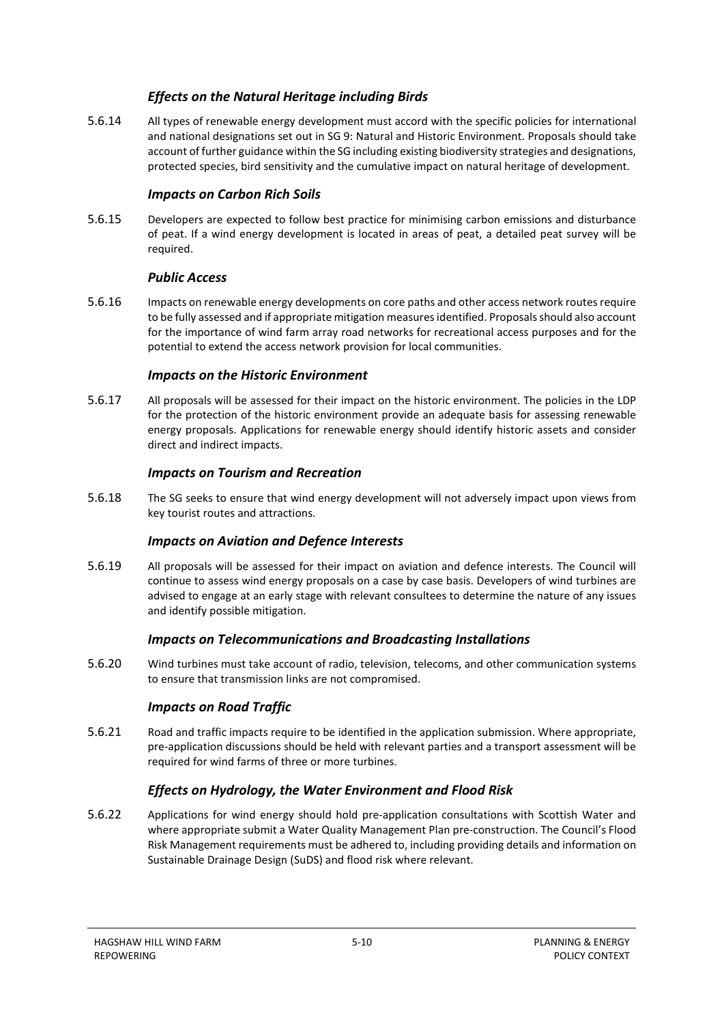#### *Effects on the Natural Heritage including Birds*

5.6.14 All types of renewable energy development must accord with the specific policies for international and national designations set out in SG 9: Natural and Historic Environment. Proposals should take account of further guidance within the SG including existing biodiversity strategies and designations, protected species, bird sensitivity and the cumulative impact on natural heritage of development.

#### *Impacts on Carbon Rich Soils*

5.6.15 Developers are expected to follow best practice for minimising carbon emissions and disturbance of peat. If a wind energy development is located in areas of peat, a detailed peat survey will be required.

#### *Public Access*

5.6.16 Impacts on renewable energy developments on core paths and other access network routes require to be fully assessed and if appropriate mitigation measures identified. Proposals should also account for the importance of wind farm array road networks for recreational access purposes and for the potential to extend the access network provision for local communities.

#### *Impacts on the Historic Environment*

5.6.17 All proposals will be assessed for their impact on the historic environment. The policies in the LDP for the protection of the historic environment provide an adequate basis for assessing renewable energy proposals. Applications for renewable energy should identify historic assets and consider direct and indirect impacts.

#### *Impacts on Tourism and Recreation*

5.6.18 The SG seeks to ensure that wind energy development will not adversely impact upon views from key tourist routes and attractions.

#### *Impacts on Aviation and Defence Interests*

5.6.19 All proposals will be assessed for their impact on aviation and defence interests. The Council will continue to assess wind energy proposals on a case by case basis. Developers of wind turbines are advised to engage at an early stage with relevant consultees to determine the nature of any issues and identify possible mitigation.

#### *Impacts on Telecommunications and Broadcasting Installations*

5.6.20 Wind turbines must take account of radio, television, telecoms, and other communication systems to ensure that transmission links are not compromised.

#### *Impacts on Road Traffic*

5.6.21 Road and traffic impacts require to be identified in the application submission. Where appropriate, pre-application discussions should be held with relevant parties and a transport assessment will be required for wind farms of three or more turbines.

#### *Effects on Hydrology, the Water Environment and Flood Risk*

5.6.22 Applications for wind energy should hold pre-application consultations with Scottish Water and where appropriate submit a Water Quality Management Plan pre-construction. The Council's Flood Risk Management requirements must be adhered to, including providing details and information on Sustainable Drainage Design (SuDS) and flood risk where relevant.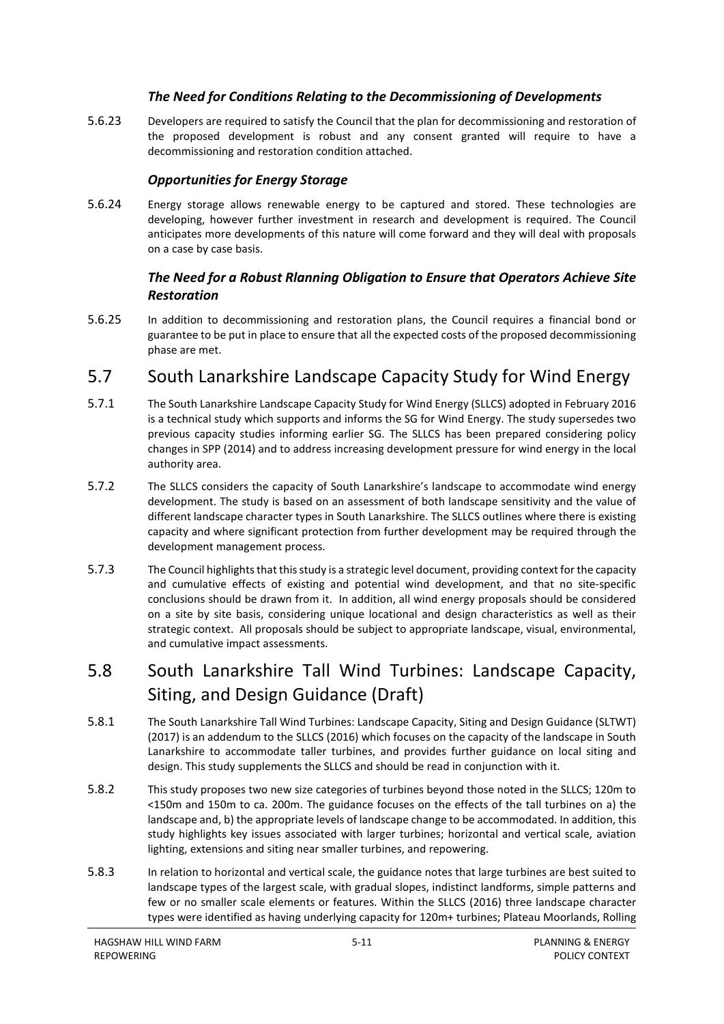#### *The Need for Conditions Relating to the Decommissioning of Developments*

5.6.23 Developers are required to satisfy the Council that the plan for decommissioning and restoration of the proposed development is robust and any consent granted will require to have a decommissioning and restoration condition attached.

#### *Opportunities for Energy Storage*

5.6.24 Energy storage allows renewable energy to be captured and stored. These technologies are developing, however further investment in research and development is required. The Council anticipates more developments of this nature will come forward and they will deal with proposals on a case by case basis.

#### *The Need for a Robust Rlanning Obligation to Ensure that Operators Achieve Site Restoration*

5.6.25 In addition to decommissioning and restoration plans, the Council requires a financial bond or guarantee to be put in place to ensure that all the expected costs of the proposed decommissioning phase are met.

### <span id="page-12-0"></span>5.7 South Lanarkshire Landscape Capacity Study for Wind Energy

- 5.7.1 The South Lanarkshire Landscape Capacity Study for Wind Energy (SLLCS) adopted in February 2016 is a technical study which supports and informs the SG for Wind Energy. The study supersedes two previous capacity studies informing earlier SG. The SLLCS has been prepared considering policy changes in SPP (2014) and to address increasing development pressure for wind energy in the local authority area.
- 5.7.2 The SLLCS considers the capacity of South Lanarkshire's landscape to accommodate wind energy development. The study is based on an assessment of both landscape sensitivity and the value of different landscape character types in South Lanarkshire. The SLLCS outlines where there is existing capacity and where significant protection from further development may be required through the development management process.
- 5.7.3 The Council highlights that this study is a strategic level document, providing context for the capacity and cumulative effects of existing and potential wind development, and that no site-specific conclusions should be drawn from it. In addition, all wind energy proposals should be considered on a site by site basis, considering unique locational and design characteristics as well as their strategic context. All proposals should be subject to appropriate landscape, visual, environmental, and cumulative impact assessments.

## <span id="page-12-1"></span>5.8 South Lanarkshire Tall Wind Turbines: Landscape Capacity, Siting, and Design Guidance (Draft)

- 5.8.1 The South Lanarkshire Tall Wind Turbines: Landscape Capacity, Siting and Design Guidance (SLTWT) (2017) is an addendum to the SLLCS (2016) which focuses on the capacity of the landscape in South Lanarkshire to accommodate taller turbines, and provides further guidance on local siting and design. This study supplements the SLLCS and should be read in conjunction with it.
- 5.8.2 This study proposes two new size categories of turbines beyond those noted in the SLLCS; 120m to <150m and 150m to ca. 200m. The guidance focuses on the effects of the tall turbines on a) the landscape and, b) the appropriate levels of landscape change to be accommodated. In addition, this study highlights key issues associated with larger turbines; horizontal and vertical scale, aviation lighting, extensions and siting near smaller turbines, and repowering.
- 5.8.3 In relation to horizontal and vertical scale, the guidance notes that large turbines are best suited to landscape types of the largest scale, with gradual slopes, indistinct landforms, simple patterns and few or no smaller scale elements or features. Within the SLLCS (2016) three landscape character types were identified as having underlying capacity for 120m+ turbines; Plateau Moorlands, Rolling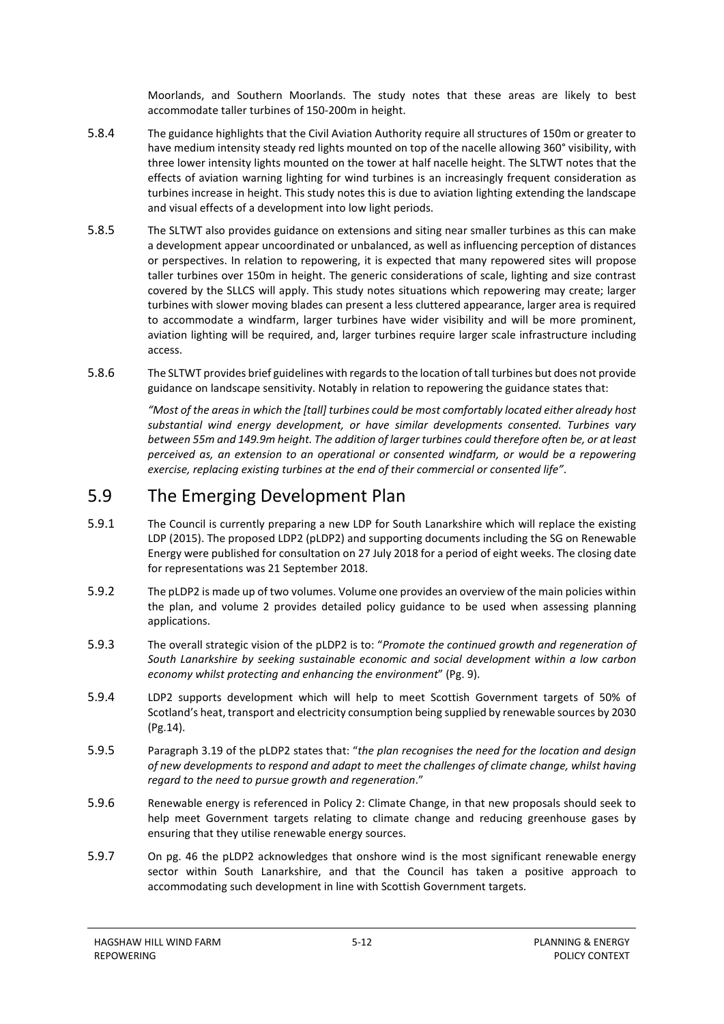Moorlands, and Southern Moorlands. The study notes that these areas are likely to best accommodate taller turbines of 150-200m in height.

- 5.8.4 The guidance highlights that the Civil Aviation Authority require all structures of 150m or greater to have medium intensity steady red lights mounted on top of the nacelle allowing 360° visibility, with three lower intensity lights mounted on the tower at half nacelle height. The SLTWT notes that the effects of aviation warning lighting for wind turbines is an increasingly frequent consideration as turbines increase in height. This study notes this is due to aviation lighting extending the landscape and visual effects of a development into low light periods.
- 5.8.5 The SLTWT also provides guidance on extensions and siting near smaller turbines as this can make a development appear uncoordinated or unbalanced, as well as influencing perception of distances or perspectives. In relation to repowering, it is expected that many repowered sites will propose taller turbines over 150m in height. The generic considerations of scale, lighting and size contrast covered by the SLLCS will apply. This study notes situations which repowering may create; larger turbines with slower moving blades can present a less cluttered appearance, larger area is required to accommodate a windfarm, larger turbines have wider visibility and will be more prominent, aviation lighting will be required, and, larger turbines require larger scale infrastructure including access.
- 5.8.6 The SLTWT provides brief guidelines with regards to the location of tall turbines but does not provide guidance on landscape sensitivity. Notably in relation to repowering the guidance states that:

*"Most of the areas in which the [tall] turbines could be most comfortably located either already host substantial wind energy development, or have similar developments consented. Turbines vary between 55m and 149.9m height. The addition of larger turbines could therefore often be, or at least perceived as, an extension to an operational or consented windfarm, or would be a repowering exercise, replacing existing turbines at the end of their commercial or consented life"*.

### <span id="page-13-0"></span>5.9 The Emerging Development Plan

- 5.9.1 The Council is currently preparing a new LDP for South Lanarkshire which will replace the existing LDP (2015). The proposed LDP2 (pLDP2) and supporting documents including the SG on Renewable Energy were published for consultation on 27 July 2018 for a period of eight weeks. The closing date for representations was 21 September 2018.
- 5.9.2 The pLDP2 is made up of two volumes. Volume one provides an overview of the main policies within the plan, and volume 2 provides detailed policy guidance to be used when assessing planning applications.
- 5.9.3 The overall strategic vision of the pLDP2 is to: "*Promote the continued growth and regeneration of South Lanarkshire by seeking sustainable economic and social development within a low carbon economy whilst protecting and enhancing the environment*" (Pg. 9).
- 5.9.4 LDP2 supports development which will help to meet Scottish Government targets of 50% of Scotland's heat, transport and electricity consumption being supplied by renewable sources by 2030 (Pg.14).
- 5.9.5 Paragraph 3.19 of the pLDP2 states that: "*the plan recognises the need for the location and design of new developments to respond and adapt to meet the challenges of climate change, whilst having regard to the need to pursue growth and regeneration*."
- 5.9.6 Renewable energy is referenced in Policy 2: Climate Change, in that new proposals should seek to help meet Government targets relating to climate change and reducing greenhouse gases by ensuring that they utilise renewable energy sources.
- 5.9.7 On pg. 46 the pLDP2 acknowledges that onshore wind is the most significant renewable energy sector within South Lanarkshire, and that the Council has taken a positive approach to accommodating such development in line with Scottish Government targets.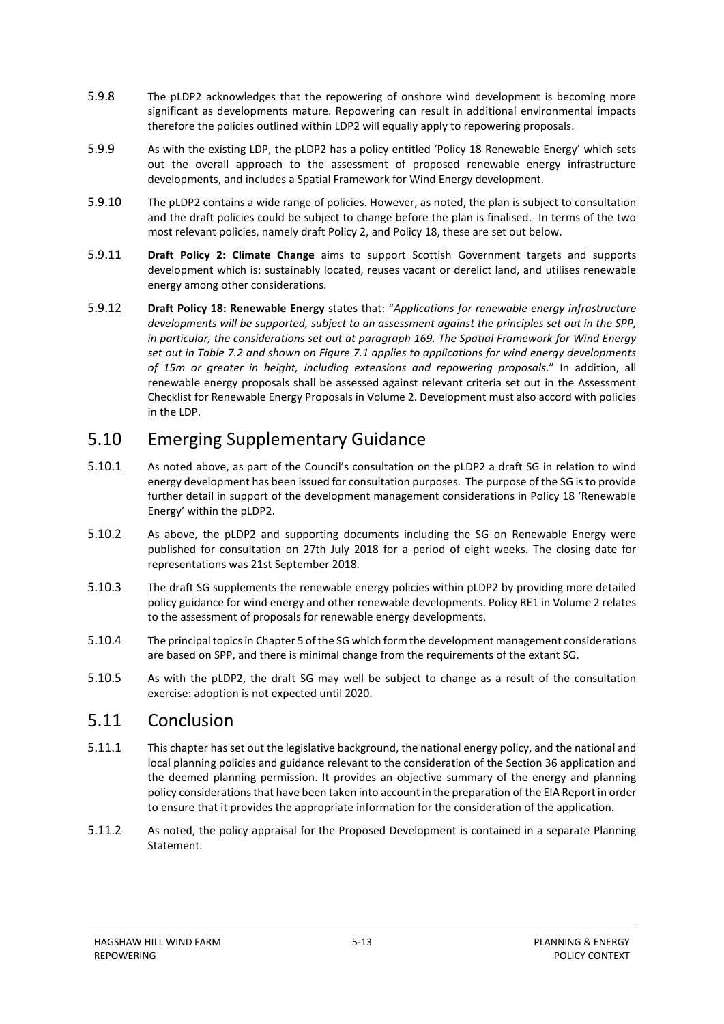- 5.9.8 The pLDP2 acknowledges that the repowering of onshore wind development is becoming more significant as developments mature. Repowering can result in additional environmental impacts therefore the policies outlined within LDP2 will equally apply to repowering proposals.
- 5.9.9 As with the existing LDP, the pLDP2 has a policy entitled 'Policy 18 Renewable Energy' which sets out the overall approach to the assessment of proposed renewable energy infrastructure developments, and includes a Spatial Framework for Wind Energy development.
- 5.9.10 The pLDP2 contains a wide range of policies. However, as noted, the plan is subject to consultation and the draft policies could be subject to change before the plan is finalised. In terms of the two most relevant policies, namely draft Policy 2, and Policy 18, these are set out below.
- 5.9.11 **Draft Policy 2: Climate Change** aims to support Scottish Government targets and supports development which is: sustainably located, reuses vacant or derelict land, and utilises renewable energy among other considerations.
- 5.9.12 **Draft Policy 18: Renewable Energy** states that: "*Applications for renewable energy infrastructure developments will be supported, subject to an assessment against the principles set out in the SPP, in particular, the considerations set out at paragraph 169. The Spatial Framework for Wind Energy set out in Table 7.2 and shown on Figure 7.1 applies to applications for wind energy developments of 15m or greater in height, including extensions and repowering proposals*." In addition, all renewable energy proposals shall be assessed against relevant criteria set out in the Assessment Checklist for Renewable Energy Proposals in Volume 2. Development must also accord with policies in the LDP.

### <span id="page-14-0"></span>5.10 Emerging Supplementary Guidance

- 5.10.1 As noted above, as part of the Council's consultation on the pLDP2 a draft SG in relation to wind energy development has been issued for consultation purposes. The purpose of the SG is to provide further detail in support of the development management considerations in Policy 18 'Renewable Energy' within the pLDP2.
- 5.10.2 As above, the pLDP2 and supporting documents including the SG on Renewable Energy were published for consultation on 27th July 2018 for a period of eight weeks. The closing date for representations was 21st September 2018.
- 5.10.3 The draft SG supplements the renewable energy policies within pLDP2 by providing more detailed policy guidance for wind energy and other renewable developments. Policy RE1 in Volume 2 relates to the assessment of proposals for renewable energy developments.
- 5.10.4 The principal topics in Chapter 5 of the SG which form the development management considerations are based on SPP, and there is minimal change from the requirements of the extant SG.
- 5.10.5 As with the pLDP2, the draft SG may well be subject to change as a result of the consultation exercise: adoption is not expected until 2020.

### <span id="page-14-1"></span>5.11 Conclusion

- 5.11.1 This chapter has set out the legislative background, the national energy policy, and the national and local planning policies and guidance relevant to the consideration of the Section 36 application and the deemed planning permission. It provides an objective summary of the energy and planning policy considerations that have been taken into account in the preparation of the EIA Report in order to ensure that it provides the appropriate information for the consideration of the application.
- 5.11.2 As noted, the policy appraisal for the Proposed Development is contained in a separate Planning Statement.